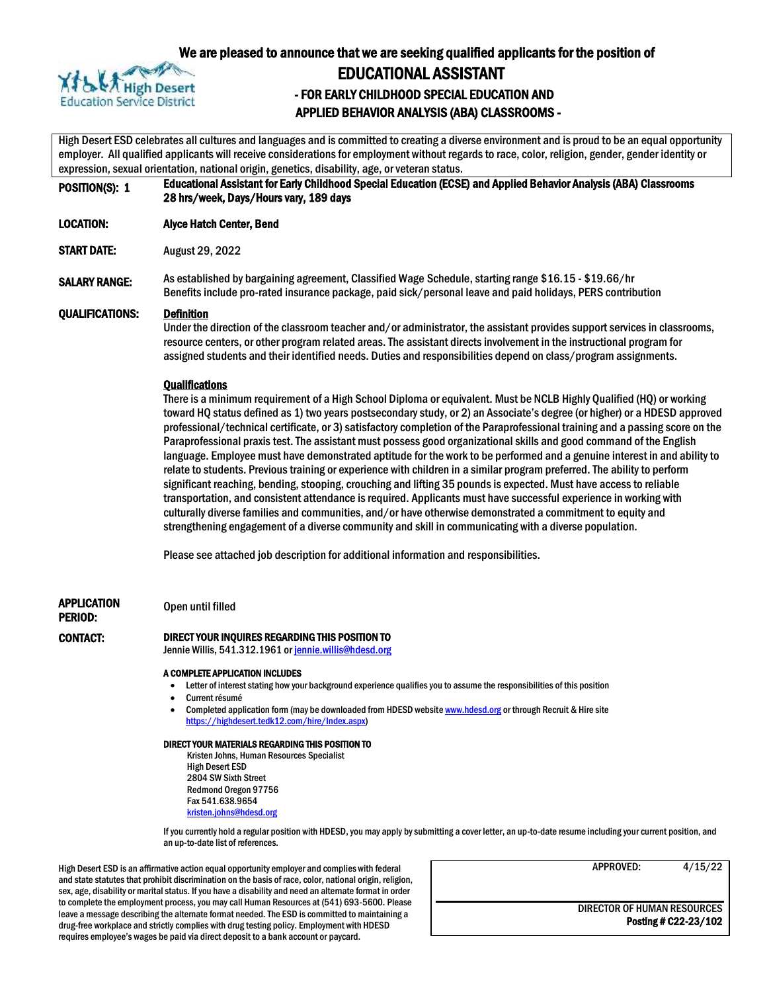

## We are pleased to announce that we are seeking qualified applicants for the position of

## EDUCATIONAL ASSISTANT

## - FOR EARLY CHILDHOOD SPECIAL EDUCATION AND APPLIED BEHAVIOR ANALYSIS (ABA) CLASSROOMS -

High Desert ESD celebrates all cultures and languages and is committed to creating a diverse environment and is proud to be an equal opportunity employer. All qualified applicants will receive considerations for employment without regards to race, color, religion, gender, gender identity or expression, sexual orientation, national origin, genetics, disability, age, or veteran status.

POSITION(S): 1 Educational Assistant for Early Childhood Special Education (ECSE) and Applied Behavior Analysis (ABA) Classrooms 28 hrs/week, Days/Hours vary, 189 days

LOCATION: Alyce Hatch Center, Bend

START DATE: August 29, 2022

SALARY RANGE: As established by bargaining agreement, Classified Wage Schedule, starting range \$16.15 - \$19.66/hr Benefits include pro-rated insurance package, paid sick/personal leave and paid holidays, PERS contribution

QUALIFICATIONS: Definition

Under the direction of the classroom teacher and/or administrator, the assistant provides support services in classrooms, resource centers, or other program related areas. The assistant directs involvement in the instructional program for assigned students and their identified needs. Duties and responsibilities depend on class/program assignments.

#### **Qualifications**

There is a minimum requirement of a High School Diploma or equivalent. Must be NCLB Highly Qualified (HQ) or working toward HQ status defined as 1) two years postsecondary study, or 2) an Associate's degree (or higher) or a HDESD approved professional/technical certificate, or 3) satisfactory completion of the Paraprofessional training and a passing score on the Paraprofessional praxis test. The assistant must possess good organizational skills and good command of the English language. Employee must have demonstrated aptitude for the work to be performed and a genuine interest in and ability to relate to students. Previous training or experience with children in a similar program preferred. The ability to perform significant reaching, bending, stooping, crouching and lifting 35 pounds is expected. Must have access to reliable transportation, and consistent attendance is required. Applicants must have successful experience in working with culturally diverse families and communities, and/or have otherwise demonstrated a commitment to equity and strengthening engagement of a diverse community and skill in communicating with a diverse population.

Please see attached job description for additional information and responsibilities.

APPLICATION Open until filled

## PERIOD:

#### CONTACT: DIRECT YOUR INQUIRES REGARDING THIS POSITION TO

Jennie Willis, 541.312.1961 or jennie.willis@hdesd.org

#### A COMPLETE APPLICATION INCLUDES

- Letter of interest stating how your background experience qualifies you to assume the responsibilities of this position
- Current résumé
- Completed application form (may be downloaded from HDESD websit[e www.hdesd.org](http://www.hdesd.org/) or through Recruit & Hire site [https://highdesert.tedk12.com/hire/Index.aspx\)](https://highdesert.tedk12.com/hire/Index.aspx)

#### DIRECT YOUR MATERIALS REGARDING THIS POSITION TO

Kristen Johns, Human Resources Specialist High Desert ESD 2804 SW Sixth Street Redmond Oregon 97756 Fax 541.638.9654 [kristen.johns@hdesd.org](mailto:kristen.johns@hdesd.org)

If you currently hold a regular position with HDESD, you may apply by submitting a cover letter, an up-to-date resume including your current position, and an up-to-date list of references.

High Desert ESD is an affirmative action equal opportunity employer and complies with federal and state statutes that prohibit discrimination on the basis of race, color, national origin, religion, sex, age, disability or marital status. If you have a disability and need an alternate format in order to complete the employment process, you may call Human Resources at (541) 693-5600. Please leave a message describing the alternate format needed. The ESD is committed to maintaining a drug-free workplace and strictly complies with drug testing policy. Employment with HDESD requires employee's wages be paid via direct deposit to a bank account or paycard.

APPROVED: 4/15/22

DIRECTOR OF HUMAN RESOURCES Posting # C22-23/102